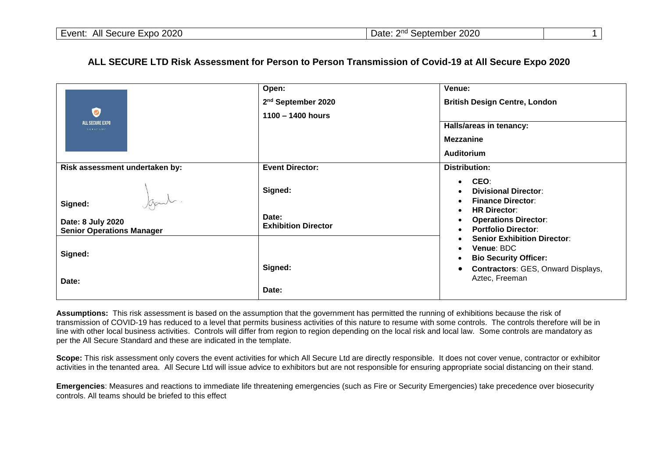## **ALL SECURE LTD Risk Assessment for Person to Person Transmission of Covid-19 at All Secure Expo 2020**

|                                                                  | Open:                               | Venue:                                                                                                                  |
|------------------------------------------------------------------|-------------------------------------|-------------------------------------------------------------------------------------------------------------------------|
|                                                                  | 2 <sup>nd</sup> September 2020      | <b>British Design Centre, London</b>                                                                                    |
| $\bullet$                                                        | $1100 - 1400$ hours                 |                                                                                                                         |
| ALL SECURE EXPO<br>THE PILOT SCENT                               |                                     | Halls/areas in tenancy:                                                                                                 |
|                                                                  |                                     | <b>Mezzanine</b>                                                                                                        |
|                                                                  |                                     | Auditorium                                                                                                              |
| Risk assessment undertaken by:                                   | <b>Event Director:</b>              | Distribution:                                                                                                           |
| Japul                                                            | Signed:                             | CEO:<br>$\bullet$<br><b>Divisional Director:</b><br><b>Finance Director:</b><br>$\bullet$                               |
| Signed:<br>Date: 8 July 2020<br><b>Senior Operations Manager</b> | Date:<br><b>Exhibition Director</b> | <b>HR Director:</b><br>$\bullet$<br><b>Operations Director:</b><br>$\bullet$<br><b>Portfolio Director:</b><br>$\bullet$ |
| Signed:                                                          |                                     | <b>Senior Exhibition Director:</b><br>Venue: BDC<br><b>Bio Security Officer:</b>                                        |
| Date:                                                            | Signed:                             | <b>Contractors: GES, Onward Displays,</b><br>Aztec, Freeman                                                             |
|                                                                  | Date:                               |                                                                                                                         |

**Assumptions:** This risk assessment is based on the assumption that the government has permitted the running of exhibitions because the risk of transmission of COVID-19 has reduced to a level that permits business activities of this nature to resume with some controls. The controls therefore will be in line with other local business activities. Controls will differ from region to region depending on the local risk and local law. Some controls are mandatory as per the All Secure Standard and these are indicated in the template.

**Scope:** This risk assessment only covers the event activities for which All Secure Ltd are directly responsible. It does not cover venue, contractor or exhibitor activities in the tenanted area. All Secure Ltd will issue advice to exhibitors but are not responsible for ensuring appropriate social distancing on their stand.

**Emergencies**: Measures and reactions to immediate life threatening emergencies (such as Fire or Security Emergencies) take precedence over biosecurity controls. All teams should be briefed to this effect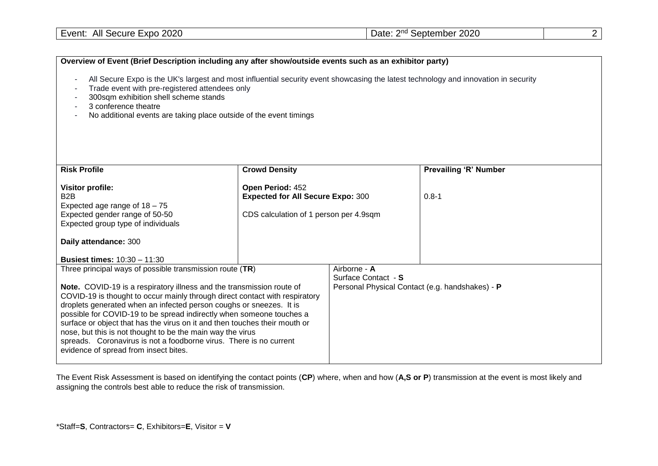|--|

| Overview of Event (Brief Description including any after show/outside events such as an exhibitor party)                                                                                                                                                                                                                                                                                                                                                                                                                                                                                                                   |                                                                                                        |                                     |                                                 |
|----------------------------------------------------------------------------------------------------------------------------------------------------------------------------------------------------------------------------------------------------------------------------------------------------------------------------------------------------------------------------------------------------------------------------------------------------------------------------------------------------------------------------------------------------------------------------------------------------------------------------|--------------------------------------------------------------------------------------------------------|-------------------------------------|-------------------------------------------------|
| All Secure Expo is the UK's largest and most influential security event showcasing the latest technology and innovation in security<br>Trade event with pre-registered attendees only<br>300sqm exhibition shell scheme stands<br>3 conference theatre<br>No additional events are taking place outside of the event timings                                                                                                                                                                                                                                                                                               |                                                                                                        |                                     |                                                 |
| <b>Risk Profile</b>                                                                                                                                                                                                                                                                                                                                                                                                                                                                                                                                                                                                        | <b>Crowd Density</b>                                                                                   |                                     | <b>Prevailing 'R' Number</b>                    |
| <b>Visitor profile:</b><br>B <sub>2</sub> B<br>Expected age range of $18 - 75$<br>Expected gender range of 50-50<br>Expected group type of individuals<br>Daily attendance: 300<br><b>Busiest times: 10:30 - 11:30</b>                                                                                                                                                                                                                                                                                                                                                                                                     | Open Period: 452<br><b>Expected for All Secure Expo: 300</b><br>CDS calculation of 1 person per 4.9sqm |                                     | $0.8 - 1$                                       |
| Three principal ways of possible transmission route (TR)<br>Note. COVID-19 is a respiratory illness and the transmission route of<br>COVID-19 is thought to occur mainly through direct contact with respiratory<br>droplets generated when an infected person coughs or sneezes. It is<br>possible for COVID-19 to be spread indirectly when someone touches a<br>surface or object that has the virus on it and then touches their mouth or<br>nose, but this is not thought to be the main way the virus<br>spreads. Coronavirus is not a foodborne virus. There is no current<br>evidence of spread from insect bites. |                                                                                                        | Airborne - A<br>Surface Contact - S | Personal Physical Contact (e.g. handshakes) - P |

The Event Risk Assessment is based on identifying the contact points (**CP**) where, when and how (**A,S or P**) transmission at the event is most likely and assigning the controls best able to reduce the risk of transmission.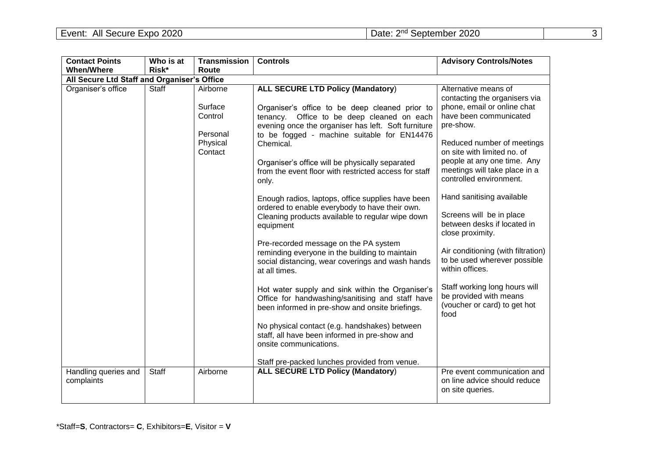| <b>Contact Points</b>                       | Who is at | <b>Transmission</b>                        | <b>Controls</b>                                                                                                                                                                                                                                | <b>Advisory Controls/Notes</b>                                                                                                                       |
|---------------------------------------------|-----------|--------------------------------------------|------------------------------------------------------------------------------------------------------------------------------------------------------------------------------------------------------------------------------------------------|------------------------------------------------------------------------------------------------------------------------------------------------------|
| <b>When/Where</b>                           | Risk*     | Route                                      |                                                                                                                                                                                                                                                |                                                                                                                                                      |
| All Secure Ltd Staff and Organiser's Office |           |                                            |                                                                                                                                                                                                                                                |                                                                                                                                                      |
| Organiser's office                          | Staff     | Airborne<br>Surface<br>Control<br>Personal | <b>ALL SECURE LTD Policy (Mandatory)</b><br>Organiser's office to be deep cleaned prior to<br>tenancy. Office to be deep cleaned on each<br>evening once the organiser has left. Soft furniture<br>to be fogged - machine suitable for EN14476 | Alternative means of<br>contacting the organisers via<br>phone, email or online chat<br>have been communicated<br>pre-show.                          |
|                                             |           | Physical<br>Contact                        | Chemical.<br>Organiser's office will be physically separated<br>from the event floor with restricted access for staff<br>only.                                                                                                                 | Reduced number of meetings<br>on site with limited no. of<br>people at any one time. Any<br>meetings will take place in a<br>controlled environment. |
|                                             |           |                                            | Enough radios, laptops, office supplies have been<br>ordered to enable everybody to have their own.<br>Cleaning products available to regular wipe down<br>equipment                                                                           | Hand sanitising available<br>Screens will be in place<br>between desks if located in<br>close proximity.                                             |
|                                             |           |                                            | Pre-recorded message on the PA system<br>reminding everyone in the building to maintain<br>social distancing, wear coverings and wash hands<br>at all times.                                                                                   | Air conditioning (with filtration)<br>to be used wherever possible<br>within offices.                                                                |
|                                             |           |                                            | Hot water supply and sink within the Organiser's<br>Office for handwashing/sanitising and staff have<br>been informed in pre-show and onsite briefings.                                                                                        | Staff working long hours will<br>be provided with means<br>(voucher or card) to get hot<br>food                                                      |
|                                             |           |                                            | No physical contact (e.g. handshakes) between<br>staff, all have been informed in pre-show and<br>onsite communications.<br>Staff pre-packed lunches provided from venue.                                                                      |                                                                                                                                                      |
| Handling queries and<br>complaints          | Staff     | Airborne                                   | <b>ALL SECURE LTD Policy (Mandatory)</b>                                                                                                                                                                                                       | Pre event communication and<br>on line advice should reduce<br>on site queries.                                                                      |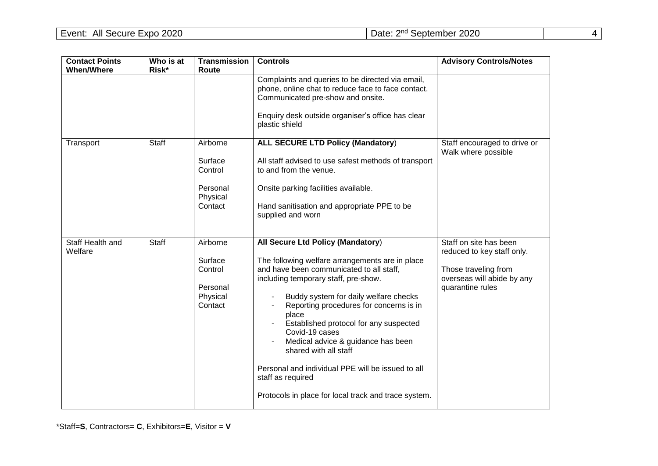| <b>Contact Points</b>       | Who is at<br>Risk* | <b>Transmission</b>                                               | <b>Controls</b>                                                                                                                                                                                                                                                                                                                                                                                                                                                                                                                    | <b>Advisory Controls/Notes</b>                                                                                                 |
|-----------------------------|--------------------|-------------------------------------------------------------------|------------------------------------------------------------------------------------------------------------------------------------------------------------------------------------------------------------------------------------------------------------------------------------------------------------------------------------------------------------------------------------------------------------------------------------------------------------------------------------------------------------------------------------|--------------------------------------------------------------------------------------------------------------------------------|
| <b>When/Where</b>           |                    | Route                                                             | Complaints and queries to be directed via email,<br>phone, online chat to reduce face to face contact.<br>Communicated pre-show and onsite.<br>Enquiry desk outside organiser's office has clear<br>plastic shield                                                                                                                                                                                                                                                                                                                 |                                                                                                                                |
| Transport                   | <b>Staff</b>       | Airborne<br>Surface<br>Control<br>Personal<br>Physical<br>Contact | <b>ALL SECURE LTD Policy (Mandatory)</b><br>All staff advised to use safest methods of transport<br>to and from the venue.<br>Onsite parking facilities available.<br>Hand sanitisation and appropriate PPE to be<br>supplied and worn                                                                                                                                                                                                                                                                                             | Staff encouraged to drive or<br>Walk where possible                                                                            |
| Staff Health and<br>Welfare | <b>Staff</b>       | Airborne<br>Surface<br>Control<br>Personal<br>Physical<br>Contact | All Secure Ltd Policy (Mandatory)<br>The following welfare arrangements are in place<br>and have been communicated to all staff,<br>including temporary staff, pre-show.<br>Buddy system for daily welfare checks<br>Reporting procedures for concerns is in<br>place<br>Established protocol for any suspected<br>Covid-19 cases<br>Medical advice & guidance has been<br>shared with all staff<br>Personal and individual PPE will be issued to all<br>staff as required<br>Protocols in place for local track and trace system. | Staff on site has been<br>reduced to key staff only.<br>Those traveling from<br>overseas will abide by any<br>quarantine rules |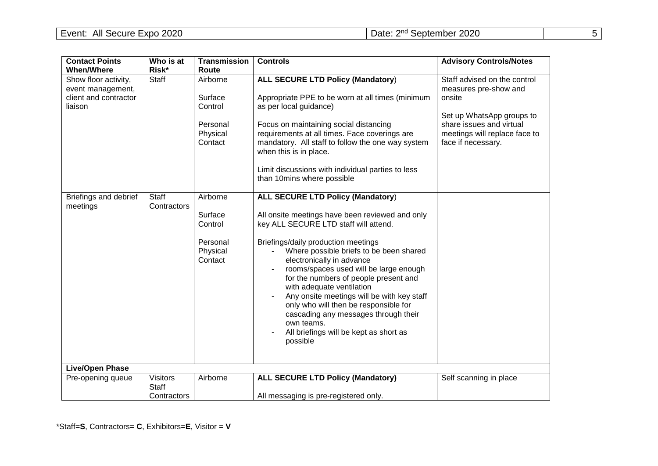| <b>Contact Points</b>                                 | Who is at                       | <b>Transmission</b>             | <b>Controls</b>                                                                                                                                                                                                                                                                                                                                                                                                                | <b>Advisory Controls/Notes</b>                                                           |
|-------------------------------------------------------|---------------------------------|---------------------------------|--------------------------------------------------------------------------------------------------------------------------------------------------------------------------------------------------------------------------------------------------------------------------------------------------------------------------------------------------------------------------------------------------------------------------------|------------------------------------------------------------------------------------------|
| <b>When/Where</b>                                     | Risk*                           | Route                           |                                                                                                                                                                                                                                                                                                                                                                                                                                |                                                                                          |
| Show floor activity,                                  | Staff                           | Airborne                        | <b>ALL SECURE LTD Policy (Mandatory)</b>                                                                                                                                                                                                                                                                                                                                                                                       | Staff advised on the control                                                             |
| event management,<br>client and contractor<br>liaison |                                 | Surface<br>Control<br>Personal  | Appropriate PPE to be worn at all times (minimum<br>as per local guidance)<br>Focus on maintaining social distancing                                                                                                                                                                                                                                                                                                           | measures pre-show and<br>onsite<br>Set up WhatsApp groups to<br>share issues and virtual |
|                                                       |                                 | Physical<br>Contact             | requirements at all times. Face coverings are<br>mandatory. All staff to follow the one way system<br>when this is in place.                                                                                                                                                                                                                                                                                                   | meetings will replace face to<br>face if necessary.                                      |
|                                                       |                                 |                                 | Limit discussions with individual parties to less<br>than 10mins where possible                                                                                                                                                                                                                                                                                                                                                |                                                                                          |
| Briefings and debrief                                 | <b>Staff</b><br>Contractors     | Airborne                        | <b>ALL SECURE LTD Policy (Mandatory)</b>                                                                                                                                                                                                                                                                                                                                                                                       |                                                                                          |
| meetings                                              |                                 | Surface<br>Control              | All onsite meetings have been reviewed and only<br>key ALL SECURE LTD staff will attend.                                                                                                                                                                                                                                                                                                                                       |                                                                                          |
|                                                       |                                 | Personal<br>Physical<br>Contact | Briefings/daily production meetings<br>Where possible briefs to be been shared<br>electronically in advance<br>rooms/spaces used will be large enough<br>for the numbers of people present and<br>with adequate ventilation<br>Any onsite meetings will be with key staff<br>only who will then be responsible for<br>cascading any messages through their<br>own teams.<br>All briefings will be kept as short as<br>possible |                                                                                          |
| <b>Live/Open Phase</b>                                |                                 |                                 |                                                                                                                                                                                                                                                                                                                                                                                                                                |                                                                                          |
| Pre-opening queue                                     | <b>Visitors</b><br><b>Staff</b> | Airborne                        | <b>ALL SECURE LTD Policy (Mandatory)</b>                                                                                                                                                                                                                                                                                                                                                                                       | Self scanning in place                                                                   |
|                                                       | Contractors                     |                                 | All messaging is pre-registered only.                                                                                                                                                                                                                                                                                                                                                                                          |                                                                                          |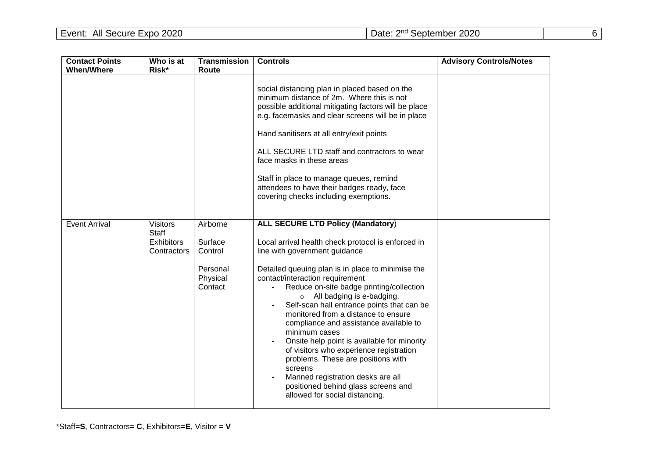| <b>Contact Points</b><br><b>When/Where</b> | Who is at<br>Risk*                                                  | <b>Transmission</b><br>Route                                      | <b>Controls</b>                                                                                                                                                                                                                                                                                                                                                                                                                                                                                                                                                                                                                                                                                                   | <b>Advisory Controls/Notes</b> |
|--------------------------------------------|---------------------------------------------------------------------|-------------------------------------------------------------------|-------------------------------------------------------------------------------------------------------------------------------------------------------------------------------------------------------------------------------------------------------------------------------------------------------------------------------------------------------------------------------------------------------------------------------------------------------------------------------------------------------------------------------------------------------------------------------------------------------------------------------------------------------------------------------------------------------------------|--------------------------------|
|                                            |                                                                     |                                                                   | social distancing plan in placed based on the<br>minimum distance of 2m. Where this is not<br>possible additional mitigating factors will be place<br>e.g. facemasks and clear screens will be in place<br>Hand sanitisers at all entry/exit points<br>ALL SECURE LTD staff and contractors to wear<br>face masks in these areas<br>Staff in place to manage queues, remind<br>attendees to have their badges ready, face<br>covering checks including exemptions.                                                                                                                                                                                                                                                |                                |
| <b>Event Arrival</b>                       | <b>Visitors</b><br><b>Staff</b><br><b>Exhibitors</b><br>Contractors | Airborne<br>Surface<br>Control<br>Personal<br>Physical<br>Contact | <b>ALL SECURE LTD Policy (Mandatory)</b><br>Local arrival health check protocol is enforced in<br>line with government guidance<br>Detailed queuing plan is in place to minimise the<br>contact/interaction requirement<br>Reduce on-site badge printing/collection<br>$\circ$ All badging is e-badging.<br>Self-scan hall entrance points that can be<br>monitored from a distance to ensure<br>compliance and assistance available to<br>minimum cases<br>Onsite help point is available for minority<br>of visitors who experience registration<br>problems. These are positions with<br>screens<br>Manned registration desks are all<br>positioned behind glass screens and<br>allowed for social distancing. |                                |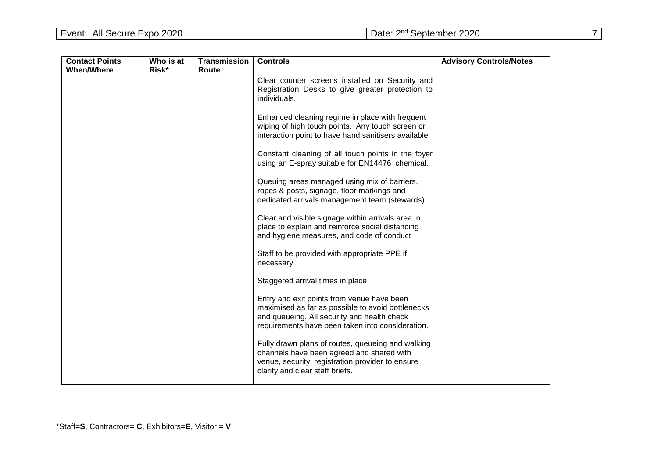| <b>Contact Points</b> | Who is at | <b>Transmission</b> | <b>Controls</b>                                                                                                                                                                                    | <b>Advisory Controls/Notes</b> |
|-----------------------|-----------|---------------------|----------------------------------------------------------------------------------------------------------------------------------------------------------------------------------------------------|--------------------------------|
| <b>When/Where</b>     | Risk*     | Route               |                                                                                                                                                                                                    |                                |
|                       |           |                     | Clear counter screens installed on Security and<br>Registration Desks to give greater protection to<br>individuals.                                                                                |                                |
|                       |           |                     | Enhanced cleaning regime in place with frequent<br>wiping of high touch points. Any touch screen or<br>interaction point to have hand sanitisers available.                                        |                                |
|                       |           |                     | Constant cleaning of all touch points in the foyer<br>using an E-spray suitable for EN14476 chemical.                                                                                              |                                |
|                       |           |                     | Queuing areas managed using mix of barriers,<br>ropes & posts, signage, floor markings and<br>dedicated arrivals management team (stewards).                                                       |                                |
|                       |           |                     | Clear and visible signage within arrivals area in<br>place to explain and reinforce social distancing<br>and hygiene measures, and code of conduct                                                 |                                |
|                       |           |                     | Staff to be provided with appropriate PPE if<br>necessary                                                                                                                                          |                                |
|                       |           |                     | Staggered arrival times in place                                                                                                                                                                   |                                |
|                       |           |                     | Entry and exit points from venue have been<br>maximised as far as possible to avoid bottlenecks<br>and queueing. All security and health check<br>requirements have been taken into consideration. |                                |
|                       |           |                     | Fully drawn plans of routes, queueing and walking<br>channels have been agreed and shared with<br>venue, security, registration provider to ensure<br>clarity and clear staff briefs.              |                                |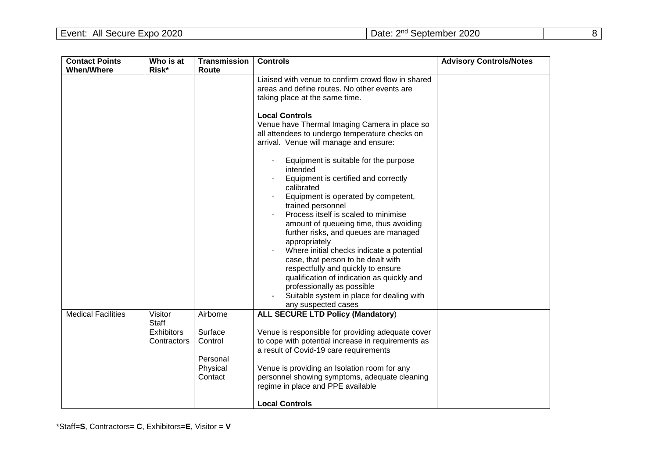| <b>Contact Points</b>     | Who is at                                            | <b>Transmission</b>                                               | <b>Controls</b>                                                                                                                                                                                                                                                                                                                                                                                                                                                                                                                                                                                                                                                                                                                                                                                                                                                                 | <b>Advisory Controls/Notes</b> |
|---------------------------|------------------------------------------------------|-------------------------------------------------------------------|---------------------------------------------------------------------------------------------------------------------------------------------------------------------------------------------------------------------------------------------------------------------------------------------------------------------------------------------------------------------------------------------------------------------------------------------------------------------------------------------------------------------------------------------------------------------------------------------------------------------------------------------------------------------------------------------------------------------------------------------------------------------------------------------------------------------------------------------------------------------------------|--------------------------------|
| <b>When/Where</b>         | Risk*                                                | Route                                                             |                                                                                                                                                                                                                                                                                                                                                                                                                                                                                                                                                                                                                                                                                                                                                                                                                                                                                 |                                |
|                           |                                                      |                                                                   | Liaised with venue to confirm crowd flow in shared<br>areas and define routes. No other events are<br>taking place at the same time.<br><b>Local Controls</b><br>Venue have Thermal Imaging Camera in place so<br>all attendees to undergo temperature checks on<br>arrival. Venue will manage and ensure:<br>Equipment is suitable for the purpose<br>intended<br>Equipment is certified and correctly<br>calibrated<br>Equipment is operated by competent,<br>trained personnel<br>Process itself is scaled to minimise<br>amount of queueing time, thus avoiding<br>further risks, and queues are managed<br>appropriately<br>Where initial checks indicate a potential<br>case, that person to be dealt with<br>respectfully and quickly to ensure<br>qualification of indication as quickly and<br>professionally as possible<br>Suitable system in place for dealing with |                                |
|                           |                                                      |                                                                   | any suspected cases                                                                                                                                                                                                                                                                                                                                                                                                                                                                                                                                                                                                                                                                                                                                                                                                                                                             |                                |
| <b>Medical Facilities</b> | Visitor<br>Staff<br><b>Exhibitors</b><br>Contractors | Airborne<br>Surface<br>Control<br>Personal<br>Physical<br>Contact | <b>ALL SECURE LTD Policy (Mandatory)</b><br>Venue is responsible for providing adequate cover<br>to cope with potential increase in requirements as<br>a result of Covid-19 care requirements<br>Venue is providing an Isolation room for any<br>personnel showing symptoms, adequate cleaning<br>regime in place and PPE available                                                                                                                                                                                                                                                                                                                                                                                                                                                                                                                                             |                                |
|                           |                                                      |                                                                   | <b>Local Controls</b>                                                                                                                                                                                                                                                                                                                                                                                                                                                                                                                                                                                                                                                                                                                                                                                                                                                           |                                |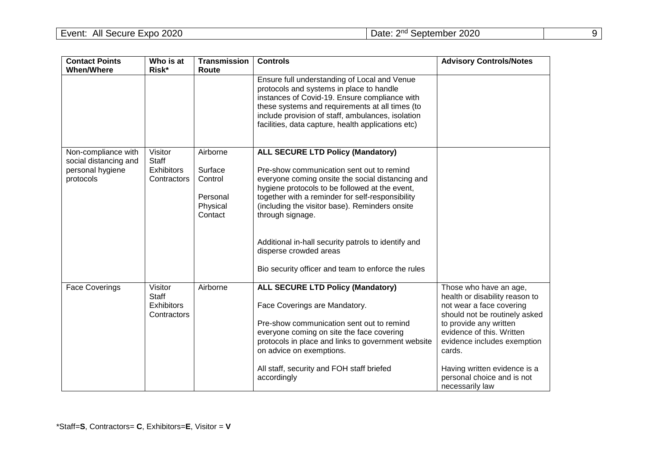| <b>Contact Points</b>                                                         | Who is at                                                   | <b>Transmission</b>                                               | <b>Controls</b>                                                                                                                                                                                                                                                                                                                                                                                                                                              | <b>Advisory Controls/Notes</b>                                                                                                                                                                                                                                                                         |
|-------------------------------------------------------------------------------|-------------------------------------------------------------|-------------------------------------------------------------------|--------------------------------------------------------------------------------------------------------------------------------------------------------------------------------------------------------------------------------------------------------------------------------------------------------------------------------------------------------------------------------------------------------------------------------------------------------------|--------------------------------------------------------------------------------------------------------------------------------------------------------------------------------------------------------------------------------------------------------------------------------------------------------|
| <b>When/Where</b>                                                             | Risk*                                                       | Route                                                             |                                                                                                                                                                                                                                                                                                                                                                                                                                                              |                                                                                                                                                                                                                                                                                                        |
|                                                                               |                                                             |                                                                   | Ensure full understanding of Local and Venue<br>protocols and systems in place to handle<br>instances of Covid-19. Ensure compliance with<br>these systems and requirements at all times (to<br>include provision of staff, ambulances, isolation<br>facilities, data capture, health applications etc)                                                                                                                                                      |                                                                                                                                                                                                                                                                                                        |
| Non-compliance with<br>social distancing and<br>personal hygiene<br>protocols | Visitor<br><b>Staff</b><br><b>Exhibitors</b><br>Contractors | Airborne<br>Surface<br>Control<br>Personal<br>Physical<br>Contact | <b>ALL SECURE LTD Policy (Mandatory)</b><br>Pre-show communication sent out to remind<br>everyone coming onsite the social distancing and<br>hygiene protocols to be followed at the event,<br>together with a reminder for self-responsibility<br>(including the visitor base). Reminders onsite<br>through signage.<br>Additional in-hall security patrols to identify and<br>disperse crowded areas<br>Bio security officer and team to enforce the rules |                                                                                                                                                                                                                                                                                                        |
| <b>Face Coverings</b>                                                         | Visitor<br>Staff<br><b>Exhibitors</b><br>Contractors        | Airborne                                                          | <b>ALL SECURE LTD Policy (Mandatory)</b><br>Face Coverings are Mandatory.<br>Pre-show communication sent out to remind<br>everyone coming on site the face covering<br>protocols in place and links to government website<br>on advice on exemptions.<br>All staff, security and FOH staff briefed<br>accordingly                                                                                                                                            | Those who have an age,<br>health or disability reason to<br>not wear a face covering<br>should not be routinely asked<br>to provide any written<br>evidence of this. Written<br>evidence includes exemption<br>cards.<br>Having written evidence is a<br>personal choice and is not<br>necessarily law |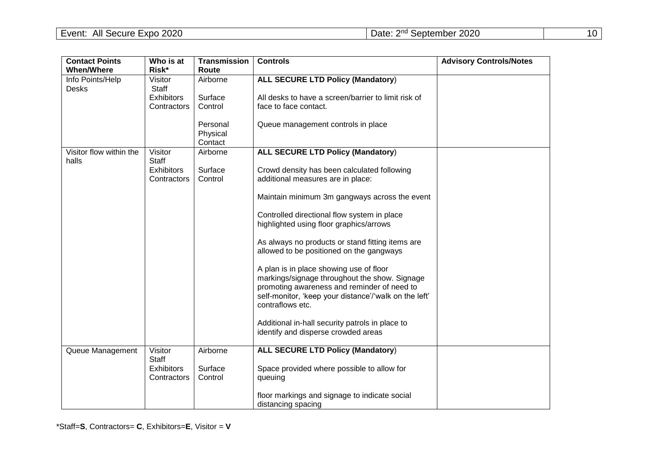| <b>Contact Points</b>            | Who is at         | Transmission | <b>Controls</b>                                                           | <b>Advisory Controls/Notes</b> |
|----------------------------------|-------------------|--------------|---------------------------------------------------------------------------|--------------------------------|
| <b>When/Where</b>                | Risk*             | Route        |                                                                           |                                |
| Info Points/Help                 | Visitor           | Airborne     | <b>ALL SECURE LTD Policy (Mandatory)</b>                                  |                                |
| Desks                            | Staff             |              |                                                                           |                                |
|                                  | <b>Exhibitors</b> | Surface      | All desks to have a screen/barrier to limit risk of                       |                                |
|                                  | Contractors       | Control      | face to face contact.                                                     |                                |
|                                  |                   | Personal     | Queue management controls in place                                        |                                |
|                                  |                   | Physical     |                                                                           |                                |
|                                  |                   | Contact      |                                                                           |                                |
| Visitor flow within the<br>halls | Visitor<br>Staff  | Airborne     | <b>ALL SECURE LTD Policy (Mandatory)</b>                                  |                                |
|                                  | <b>Exhibitors</b> | Surface      | Crowd density has been calculated following                               |                                |
|                                  | Contractors       | Control      | additional measures are in place:                                         |                                |
|                                  |                   |              | Maintain minimum 3m gangways across the event                             |                                |
|                                  |                   |              | Controlled directional flow system in place                               |                                |
|                                  |                   |              | highlighted using floor graphics/arrows                                   |                                |
|                                  |                   |              | As always no products or stand fitting items are                          |                                |
|                                  |                   |              | allowed to be positioned on the gangways                                  |                                |
|                                  |                   |              | A plan is in place showing use of floor                                   |                                |
|                                  |                   |              | markings/signage throughout the show. Signage                             |                                |
|                                  |                   |              | promoting awareness and reminder of need to                               |                                |
|                                  |                   |              | self-monitor, 'keep your distance'/'walk on the left'<br>contraflows etc. |                                |
|                                  |                   |              |                                                                           |                                |
|                                  |                   |              | Additional in-hall security patrols in place to                           |                                |
|                                  |                   |              | identify and disperse crowded areas                                       |                                |
| Queue Management                 | Visitor<br>Staff  | Airborne     | ALL SECURE LTD Policy (Mandatory)                                         |                                |
|                                  | <b>Exhibitors</b> | Surface      | Space provided where possible to allow for                                |                                |
|                                  | Contractors       | Control      | queuing                                                                   |                                |
|                                  |                   |              | floor markings and signage to indicate social<br>distancing spacing       |                                |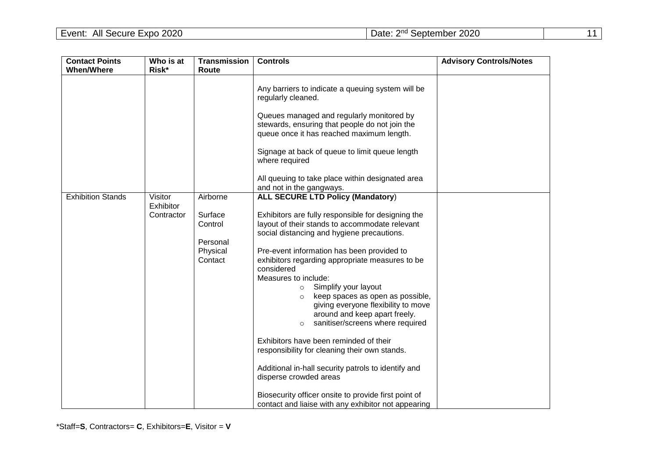| <b>Contact Points</b><br><b>When/Where</b> | Who is at<br>Risk*                 | <b>Transmission</b><br>Route                                      | <b>Controls</b>                                                                                                                                                                                                                                                                                                                                                                                                                                                                                                                                                                                                                                                                                                                                                                                                     | <b>Advisory Controls/Notes</b> |
|--------------------------------------------|------------------------------------|-------------------------------------------------------------------|---------------------------------------------------------------------------------------------------------------------------------------------------------------------------------------------------------------------------------------------------------------------------------------------------------------------------------------------------------------------------------------------------------------------------------------------------------------------------------------------------------------------------------------------------------------------------------------------------------------------------------------------------------------------------------------------------------------------------------------------------------------------------------------------------------------------|--------------------------------|
|                                            |                                    |                                                                   | Any barriers to indicate a queuing system will be<br>regularly cleaned.<br>Queues managed and regularly monitored by<br>stewards, ensuring that people do not join the<br>queue once it has reached maximum length.<br>Signage at back of queue to limit queue length<br>where required<br>All queuing to take place within designated area<br>and not in the gangways.                                                                                                                                                                                                                                                                                                                                                                                                                                             |                                |
| <b>Exhibition Stands</b>                   | Visitor<br>Exhibitor<br>Contractor | Airborne<br>Surface<br>Control<br>Personal<br>Physical<br>Contact | <b>ALL SECURE LTD Policy (Mandatory)</b><br>Exhibitors are fully responsible for designing the<br>layout of their stands to accommodate relevant<br>social distancing and hygiene precautions.<br>Pre-event information has been provided to<br>exhibitors regarding appropriate measures to be<br>considered<br>Measures to include:<br>Simplify your layout<br>$\circ$<br>keep spaces as open as possible,<br>giving everyone flexibility to move<br>around and keep apart freely.<br>sanitiser/screens where required<br>Exhibitors have been reminded of their<br>responsibility for cleaning their own stands.<br>Additional in-hall security patrols to identify and<br>disperse crowded areas<br>Biosecurity officer onsite to provide first point of<br>contact and liaise with any exhibitor not appearing |                                |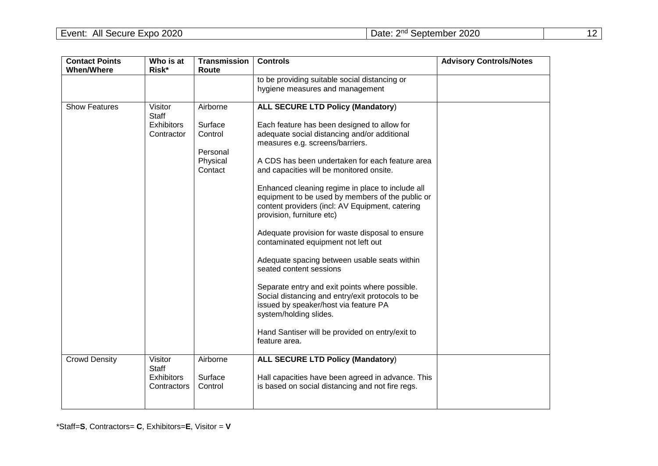| <b>Contact Points</b><br><b>When/Where</b> | Who is at<br>Risk*                                         | <b>Transmission</b><br>Route                                      | <b>Controls</b>                                                                                                                                                                                                                                                                                                                                                                                                                                                                                                                                                                                                                                                                                                                                                                                                                                                                     | <b>Advisory Controls/Notes</b> |
|--------------------------------------------|------------------------------------------------------------|-------------------------------------------------------------------|-------------------------------------------------------------------------------------------------------------------------------------------------------------------------------------------------------------------------------------------------------------------------------------------------------------------------------------------------------------------------------------------------------------------------------------------------------------------------------------------------------------------------------------------------------------------------------------------------------------------------------------------------------------------------------------------------------------------------------------------------------------------------------------------------------------------------------------------------------------------------------------|--------------------------------|
|                                            |                                                            |                                                                   | to be providing suitable social distancing or<br>hygiene measures and management                                                                                                                                                                                                                                                                                                                                                                                                                                                                                                                                                                                                                                                                                                                                                                                                    |                                |
| <b>Show Features</b>                       | Visitor<br><b>Staff</b><br><b>Exhibitors</b><br>Contractor | Airborne<br>Surface<br>Control<br>Personal<br>Physical<br>Contact | <b>ALL SECURE LTD Policy (Mandatory)</b><br>Each feature has been designed to allow for<br>adequate social distancing and/or additional<br>measures e.g. screens/barriers.<br>A CDS has been undertaken for each feature area<br>and capacities will be monitored onsite.<br>Enhanced cleaning regime in place to include all<br>equipment to be used by members of the public or<br>content providers (incl: AV Equipment, catering<br>provision, furniture etc)<br>Adequate provision for waste disposal to ensure<br>contaminated equipment not left out<br>Adequate spacing between usable seats within<br>seated content sessions<br>Separate entry and exit points where possible.<br>Social distancing and entry/exit protocols to be<br>issued by speaker/host via feature PA<br>system/holding slides.<br>Hand Santiser will be provided on entry/exit to<br>feature area. |                                |
| <b>Crowd Density</b>                       | Visitor<br>Staff<br><b>Exhibitors</b><br>Contractors       | Airborne<br>Surface<br>Control                                    | <b>ALL SECURE LTD Policy (Mandatory)</b><br>Hall capacities have been agreed in advance. This<br>is based on social distancing and not fire regs.                                                                                                                                                                                                                                                                                                                                                                                                                                                                                                                                                                                                                                                                                                                                   |                                |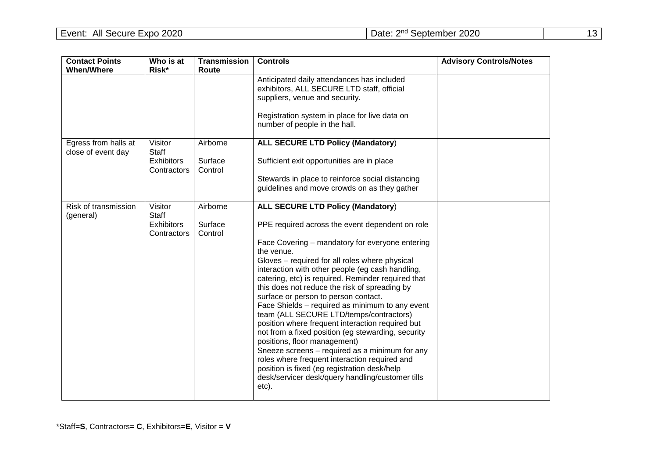| <b>Contact Points</b>                      | Who is at                        | <b>Transmission</b> | <b>Controls</b>                                                                                                                                                                                      | <b>Advisory Controls/Notes</b> |
|--------------------------------------------|----------------------------------|---------------------|------------------------------------------------------------------------------------------------------------------------------------------------------------------------------------------------------|--------------------------------|
| <b>When/Where</b>                          | Risk*                            | Route               |                                                                                                                                                                                                      |                                |
|                                            |                                  |                     | Anticipated daily attendances has included<br>exhibitors, ALL SECURE LTD staff, official<br>suppliers, venue and security.                                                                           |                                |
|                                            |                                  |                     | Registration system in place for live data on<br>number of people in the hall.                                                                                                                       |                                |
| Egress from halls at<br>close of event day | Visitor<br><b>Staff</b>          | Airborne            | <b>ALL SECURE LTD Policy (Mandatory)</b>                                                                                                                                                             |                                |
|                                            | Exhibitors<br>Contractors        | Surface<br>Control  | Sufficient exit opportunities are in place                                                                                                                                                           |                                |
|                                            |                                  |                     | Stewards in place to reinforce social distancing<br>guidelines and move crowds on as they gather                                                                                                     |                                |
| Risk of transmission<br>(general)          | Visitor<br>Staff                 | Airborne            | <b>ALL SECURE LTD Policy (Mandatory)</b>                                                                                                                                                             |                                |
|                                            | <b>Exhibitors</b><br>Contractors | Surface<br>Control  | PPE required across the event dependent on role                                                                                                                                                      |                                |
|                                            |                                  |                     | Face Covering – mandatory for everyone entering<br>the venue.                                                                                                                                        |                                |
|                                            |                                  |                     | Gloves - required for all roles where physical<br>interaction with other people (eg cash handling,                                                                                                   |                                |
|                                            |                                  |                     | catering, etc) is required. Reminder required that<br>this does not reduce the risk of spreading by                                                                                                  |                                |
|                                            |                                  |                     | surface or person to person contact.                                                                                                                                                                 |                                |
|                                            |                                  |                     | Face Shields - required as minimum to any event<br>team (ALL SECURE LTD/temps/contractors)<br>position where frequent interaction required but<br>not from a fixed position (eg stewarding, security |                                |
|                                            |                                  |                     | positions, floor management)<br>Sneeze screens - required as a minimum for any                                                                                                                       |                                |
|                                            |                                  |                     | roles where frequent interaction required and<br>position is fixed (eg registration desk/help<br>desk/servicer desk/query handling/customer tills<br>etc).                                           |                                |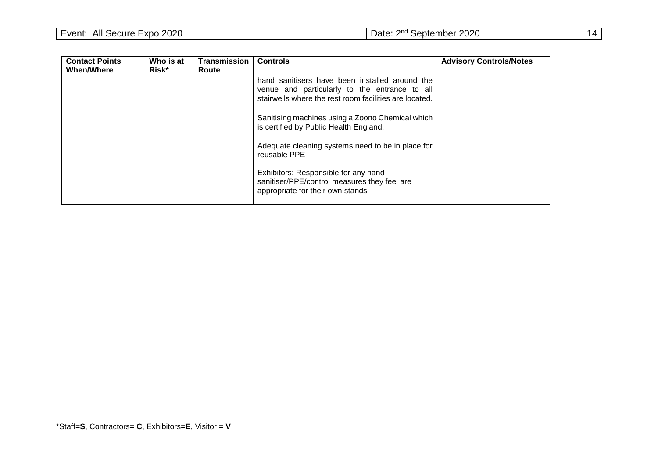| Event:<br>All Secure Expo 2020 | Date: 2 <sup>nd</sup> September 2020 |  |
|--------------------------------|--------------------------------------|--|
|--------------------------------|--------------------------------------|--|

| <b>Contact Points</b><br><b>When/Where</b> | Who is at<br>Risk* | <b>Transmission</b><br>Route | <b>Controls</b>                                                                                                                                           | <b>Advisory Controls/Notes</b> |
|--------------------------------------------|--------------------|------------------------------|-----------------------------------------------------------------------------------------------------------------------------------------------------------|--------------------------------|
|                                            |                    |                              | hand sanitisers have been installed around the<br>venue and particularly to the entrance to all<br>stairwells where the rest room facilities are located. |                                |
|                                            |                    |                              | Sanitising machines using a Zoono Chemical which<br>is certified by Public Health England.                                                                |                                |
|                                            |                    |                              | Adequate cleaning systems need to be in place for<br>reusable PPE                                                                                         |                                |
|                                            |                    |                              | Exhibitors: Responsible for any hand<br>sanitiser/PPE/control measures they feel are<br>appropriate for their own stands                                  |                                |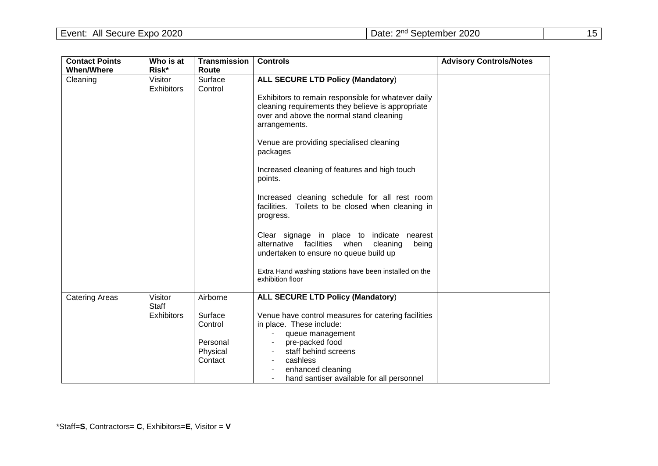| <b>Contact Points</b> | Who is at                             | <b>Transmission</b>                                               | <b>Controls</b>                                                                                                                                                                                                                                                                                                                                                                                                                                                                                                                                                                                                                                                                       | <b>Advisory Controls/Notes</b> |
|-----------------------|---------------------------------------|-------------------------------------------------------------------|---------------------------------------------------------------------------------------------------------------------------------------------------------------------------------------------------------------------------------------------------------------------------------------------------------------------------------------------------------------------------------------------------------------------------------------------------------------------------------------------------------------------------------------------------------------------------------------------------------------------------------------------------------------------------------------|--------------------------------|
| <b>When/Where</b>     | Risk*                                 | Route                                                             |                                                                                                                                                                                                                                                                                                                                                                                                                                                                                                                                                                                                                                                                                       |                                |
| Cleaning              | Visitor<br><b>Exhibitors</b>          | Surface<br>Control                                                | <b>ALL SECURE LTD Policy (Mandatory)</b><br>Exhibitors to remain responsible for whatever daily<br>cleaning requirements they believe is appropriate<br>over and above the normal stand cleaning<br>arrangements.<br>Venue are providing specialised cleaning<br>packages<br>Increased cleaning of features and high touch<br>points.<br>Increased cleaning schedule for all rest room<br>facilities. Toilets to be closed when cleaning in<br>progress.<br>Clear signage in place to indicate nearest<br>alternative facilities<br>when<br>cleaning<br>being<br>undertaken to ensure no queue build up<br>Extra Hand washing stations have been installed on the<br>exhibition floor |                                |
| <b>Catering Areas</b> | Visitor<br>Staff<br><b>Exhibitors</b> | Airborne<br>Surface<br>Control<br>Personal<br>Physical<br>Contact | <b>ALL SECURE LTD Policy (Mandatory)</b><br>Venue have control measures for catering facilities<br>in place. These include:<br>queue management<br>pre-packed food<br>staff behind screens<br>cashless<br>enhanced cleaning<br>hand santiser available for all personnel                                                                                                                                                                                                                                                                                                                                                                                                              |                                |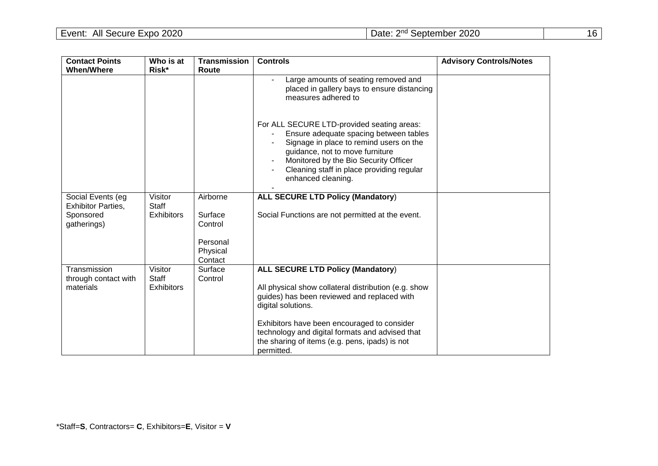| <b>Contact Points</b>                          | Who is at<br>Risk*      | <b>Transmission</b><br>Route    | <b>Controls</b>                                                                                                                                                                                                                                                                | <b>Advisory Controls/Notes</b> |
|------------------------------------------------|-------------------------|---------------------------------|--------------------------------------------------------------------------------------------------------------------------------------------------------------------------------------------------------------------------------------------------------------------------------|--------------------------------|
| <b>When/Where</b>                              |                         |                                 |                                                                                                                                                                                                                                                                                |                                |
|                                                |                         |                                 | Large amounts of seating removed and<br>placed in gallery bays to ensure distancing<br>measures adhered to                                                                                                                                                                     |                                |
|                                                |                         |                                 | For ALL SECURE LTD-provided seating areas:<br>Ensure adequate spacing between tables<br>Signage in place to remind users on the<br>guidance, not to move furniture<br>Monitored by the Bio Security Officer<br>Cleaning staff in place providing regular<br>enhanced cleaning. |                                |
| Social Events (eg<br><b>Exhibitor Parties,</b> | Visitor<br><b>Staff</b> | Airborne                        | <b>ALL SECURE LTD Policy (Mandatory)</b>                                                                                                                                                                                                                                       |                                |
| Sponsored<br>gatherings)                       | <b>Exhibitors</b>       | Surface<br>Control              | Social Functions are not permitted at the event.                                                                                                                                                                                                                               |                                |
|                                                |                         | Personal<br>Physical<br>Contact |                                                                                                                                                                                                                                                                                |                                |
| Transmission<br>through contact with           | Visitor<br>Staff        | Surface<br>Control              | <b>ALL SECURE LTD Policy (Mandatory)</b>                                                                                                                                                                                                                                       |                                |
| materials                                      | <b>Exhibitors</b>       |                                 | All physical show collateral distribution (e.g. show<br>guides) has been reviewed and replaced with<br>digital solutions.                                                                                                                                                      |                                |
|                                                |                         |                                 | Exhibitors have been encouraged to consider<br>technology and digital formats and advised that<br>the sharing of items (e.g. pens, ipads) is not<br>permitted.                                                                                                                 |                                |